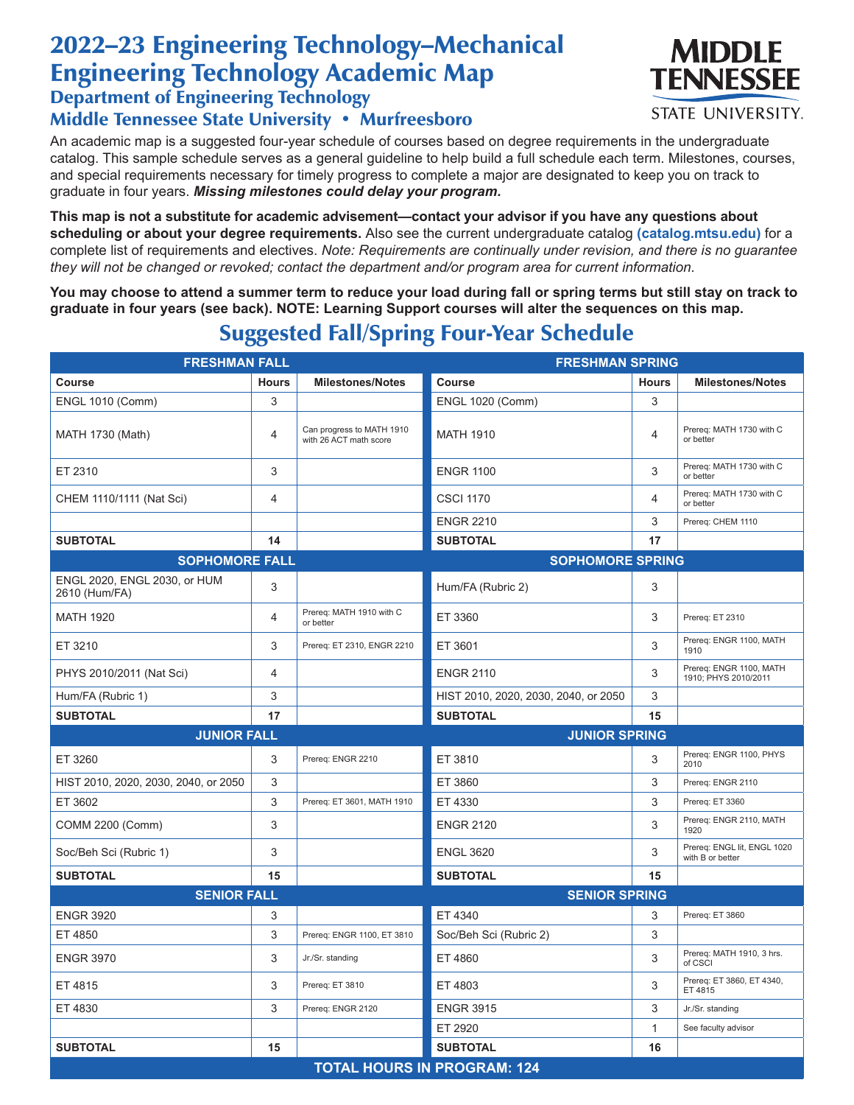## 2022–23 Engineering Technology–Mechanical Engineering Technology Academic Map

Department of Engineering Technology

## Middle Tennessee State University • Murfreesboro

An academic map is a suggested four-year schedule of courses based on degree requirements in the undergraduate catalog. This sample schedule serves as a general guideline to help build a full schedule each term. Milestones, courses, and special requirements necessary for timely progress to complete a major are designated to keep you on track to graduate in four years. *Missing milestones could delay your program.*

**This map is not a substitute for academic advisement—contact your advisor if you have any questions about scheduling or about your degree requirements.** Also see the current undergraduate catalog **(catalog.mtsu.edu)** for a complete list of requirements and electives. *Note: Requirements are continually under revision, and there is no guarantee they will not be changed or revoked; contact the department and/or program area for current information.*

**You may choose to attend a summer term to reduce your load during fall or spring terms but still stay on track to graduate in four years (see back). NOTE: Learning Support courses will alter the sequences on this map.**

| <b>FRESHMAN FALL</b>                          |                |                                                     | <b>FRESHMAN SPRING</b>               |              |                                                 |  |  |
|-----------------------------------------------|----------------|-----------------------------------------------------|--------------------------------------|--------------|-------------------------------------------------|--|--|
| Course                                        | <b>Hours</b>   | <b>Milestones/Notes</b>                             | Course                               | <b>Hours</b> | <b>Milestones/Notes</b>                         |  |  |
| <b>ENGL 1010 (Comm)</b>                       | 3              |                                                     | <b>ENGL 1020 (Comm)</b>              | 3            |                                                 |  |  |
| <b>MATH 1730 (Math)</b>                       | 4              | Can progress to MATH 1910<br>with 26 ACT math score | <b>MATH 1910</b>                     | 4            | Prereq: MATH 1730 with C<br>or better           |  |  |
| ET 2310                                       | 3              |                                                     | <b>ENGR 1100</b>                     | 3            | Prereg: MATH 1730 with C<br>or better           |  |  |
| CHEM 1110/1111 (Nat Sci)                      | 4              |                                                     | <b>CSCI 1170</b>                     | 4            | Prereg: MATH 1730 with C<br>or better           |  |  |
|                                               |                |                                                     | <b>ENGR 2210</b>                     | 3            | Prereq: CHEM 1110                               |  |  |
| <b>SUBTOTAL</b>                               | 14             |                                                     | <b>SUBTOTAL</b>                      | 17           |                                                 |  |  |
| <b>SOPHOMORE FALL</b>                         |                |                                                     | <b>SOPHOMORE SPRING</b>              |              |                                                 |  |  |
| ENGL 2020, ENGL 2030, or HUM<br>2610 (Hum/FA) | 3              |                                                     | Hum/FA (Rubric 2)                    | 3            |                                                 |  |  |
| <b>MATH 1920</b>                              | 4              | Prereg: MATH 1910 with C<br>or better               | ET 3360                              | 3            | Prereq: ET 2310                                 |  |  |
| ET 3210                                       | 3              | Prereq: ET 2310, ENGR 2210                          | ET 3601                              | 3            | Prereq: ENGR 1100, MATH<br>1910                 |  |  |
| PHYS 2010/2011 (Nat Sci)                      | $\overline{4}$ |                                                     | <b>ENGR 2110</b>                     | 3            | Prereq: ENGR 1100, MATH<br>1910; PHYS 2010/2011 |  |  |
| Hum/FA (Rubric 1)                             | 3              |                                                     | HIST 2010, 2020, 2030, 2040, or 2050 | 3            |                                                 |  |  |
| <b>SUBTOTAL</b>                               | 17             |                                                     | <b>SUBTOTAL</b>                      | 15           |                                                 |  |  |
| <b>JUNIOR FALL</b>                            |                |                                                     | <b>JUNIOR SPRING</b>                 |              |                                                 |  |  |
| ET 3260                                       | 3              | Prereq: ENGR 2210                                   | ET 3810                              | 3            | Prereq: ENGR 1100, PHYS<br>2010                 |  |  |
| HIST 2010, 2020, 2030, 2040, or 2050          | 3              |                                                     | ET 3860                              | 3            | Prereq: ENGR 2110                               |  |  |
| ET 3602                                       | 3              | Prereq: ET 3601, MATH 1910                          | ET 4330                              | 3            | Prereq: ET 3360                                 |  |  |
| COMM 2200 (Comm)                              | 3              |                                                     | <b>ENGR 2120</b>                     | 3            | Prereq: ENGR 2110, MATH<br>1920                 |  |  |
| Soc/Beh Sci (Rubric 1)                        | 3              |                                                     | <b>ENGL 3620</b>                     | 3            | Prereq: ENGL lit, ENGL 1020<br>with B or better |  |  |
| <b>SUBTOTAL</b>                               | 15             |                                                     | <b>SUBTOTAL</b>                      | 15           |                                                 |  |  |
| <b>SENIOR FALL</b>                            |                |                                                     | <b>SENIOR SPRING</b>                 |              |                                                 |  |  |
| <b>ENGR 3920</b>                              | 3              |                                                     | ET 4340                              | 3            | Prereq: ET 3860                                 |  |  |
| ET 4850                                       | 3              | Prereq: ENGR 1100, ET 3810                          | Soc/Beh Sci (Rubric 2)               | 3            |                                                 |  |  |
| <b>ENGR 3970</b>                              | 3              | Jr./Sr. standing                                    | ET 4860                              | 3            | Prereq: MATH 1910, 3 hrs.<br>of CSCI            |  |  |
| ET 4815                                       | 3              | Prereq: ET 3810                                     | ET 4803                              | 3            | Prereq: ET 3860, ET 4340,<br>ET 4815            |  |  |
| ET 4830                                       | 3              | Prereq: ENGR 2120                                   | <b>ENGR 3915</b>                     | 3            | Jr./Sr. standing                                |  |  |
|                                               |                |                                                     | ET 2920                              | $\mathbf{1}$ | See faculty advisor                             |  |  |
| <b>SUBTOTAL</b>                               | 15             |                                                     | <b>SUBTOTAL</b>                      | 16           |                                                 |  |  |
| <b>TOTAL HOURS IN PROGRAM: 124</b>            |                |                                                     |                                      |              |                                                 |  |  |

## Suggested Fall/Spring Four-Year Schedule